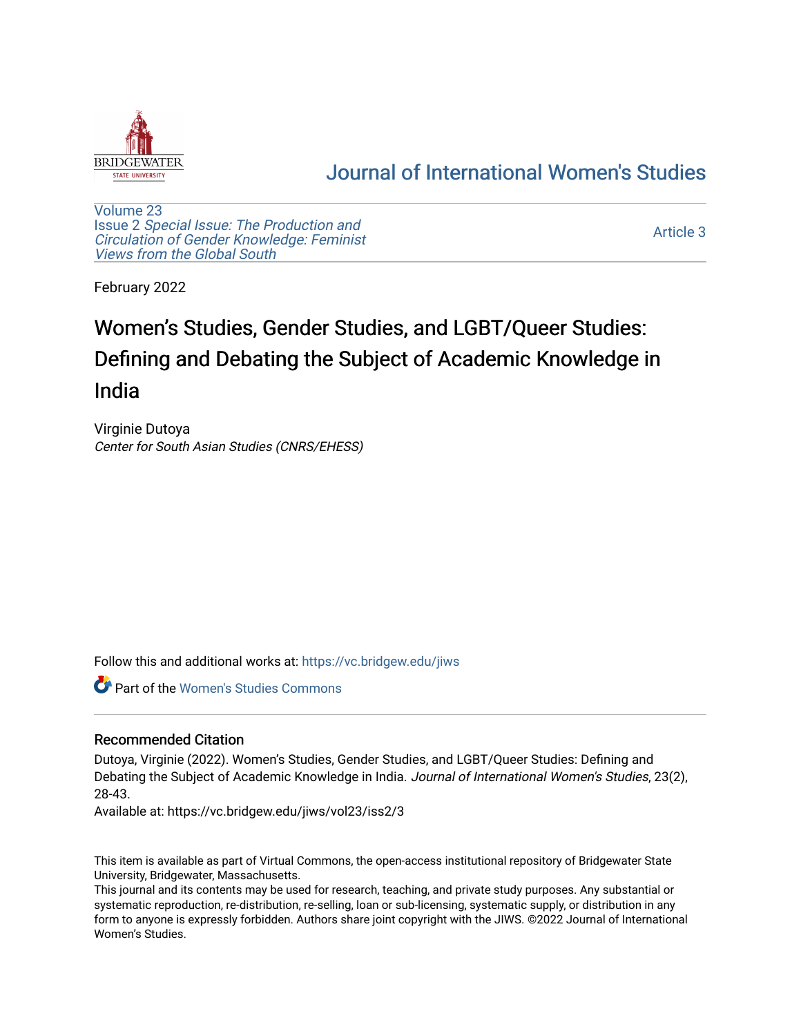

# [Journal of International Women's Studies](https://vc.bridgew.edu/jiws)

[Volume 23](https://vc.bridgew.edu/jiws/vol23) Issue 2 [Special Issue: The Production and](https://vc.bridgew.edu/jiws/vol23/iss2) [Circulation of Gender Knowledge: Feminist](https://vc.bridgew.edu/jiws/vol23/iss2)  [Views from the Global South](https://vc.bridgew.edu/jiws/vol23/iss2) 

[Article 3](https://vc.bridgew.edu/jiws/vol23/iss2/3) 

February 2022

# Women's Studies, Gender Studies, and LGBT/Queer Studies: Defining and Debating the Subject of Academic Knowledge in India

Virginie Dutoya Center for South Asian Studies (CNRS/EHESS)

Follow this and additional works at: [https://vc.bridgew.edu/jiws](https://vc.bridgew.edu/jiws?utm_source=vc.bridgew.edu%2Fjiws%2Fvol23%2Fiss2%2F3&utm_medium=PDF&utm_campaign=PDFCoverPages)

Part of the [Women's Studies Commons](http://network.bepress.com/hgg/discipline/561?utm_source=vc.bridgew.edu%2Fjiws%2Fvol23%2Fiss2%2F3&utm_medium=PDF&utm_campaign=PDFCoverPages) 

## Recommended Citation

Dutoya, Virginie (2022). Women's Studies, Gender Studies, and LGBT/Queer Studies: Defining and Debating the Subject of Academic Knowledge in India. Journal of International Women's Studies, 23(2), 28-43.

Available at: https://vc.bridgew.edu/jiws/vol23/iss2/3

This item is available as part of Virtual Commons, the open-access institutional repository of Bridgewater State University, Bridgewater, Massachusetts.

This journal and its contents may be used for research, teaching, and private study purposes. Any substantial or systematic reproduction, re-distribution, re-selling, loan or sub-licensing, systematic supply, or distribution in any form to anyone is expressly forbidden. Authors share joint copyright with the JIWS. ©2022 Journal of International Women's Studies.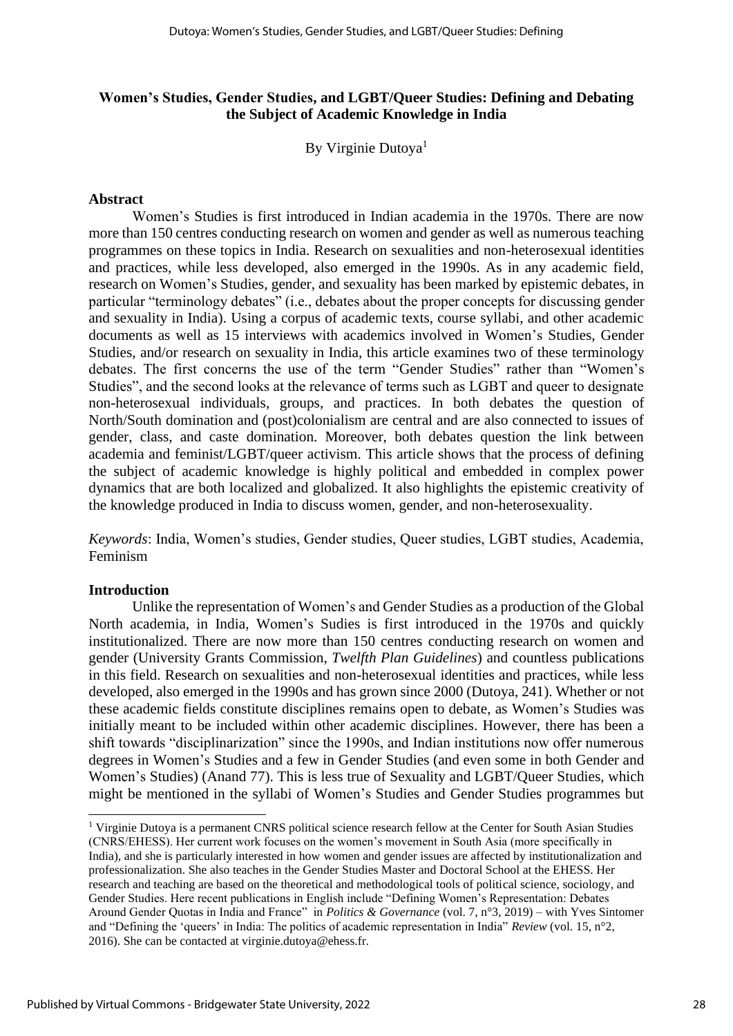# **Women's Studies, Gender Studies, and LGBT/Queer Studies: Defining and Debating the Subject of Academic Knowledge in India**

By Virginie Dutoya<sup>1</sup>

#### **Abstract**

Women's Studies is first introduced in Indian academia in the 1970s. There are now more than 150 centres conducting research on women and gender as well as numerous teaching programmes on these topics in India. Research on sexualities and non-heterosexual identities and practices, while less developed, also emerged in the 1990s. As in any academic field, research on Women's Studies, gender, and sexuality has been marked by epistemic debates, in particular "terminology debates" (i.e., debates about the proper concepts for discussing gender and sexuality in India). Using a corpus of academic texts, course syllabi, and other academic documents as well as 15 interviews with academics involved in Women's Studies, Gender Studies, and/or research on sexuality in India, this article examines two of these terminology debates. The first concerns the use of the term "Gender Studies" rather than "Women's Studies", and the second looks at the relevance of terms such as LGBT and queer to designate non-heterosexual individuals, groups, and practices. In both debates the question of North/South domination and (post)colonialism are central and are also connected to issues of gender, class, and caste domination. Moreover, both debates question the link between academia and feminist/LGBT/queer activism. This article shows that the process of defining the subject of academic knowledge is highly political and embedded in complex power dynamics that are both localized and globalized. It also highlights the epistemic creativity of the knowledge produced in India to discuss women, gender, and non-heterosexuality.

*Keywords*: India, Women's studies, Gender studies, Queer studies, LGBT studies, Academia, Feminism

## **Introduction**

Unlike the representation of Women's and Gender Studies as a production of the Global North academia, in India, Women's Sudies is first introduced in the 1970s and quickly institutionalized. There are now more than 150 centres conducting research on women and gender (University Grants Commission, *Twelfth Plan Guidelines*) and countless publications in this field. Research on sexualities and non-heterosexual identities and practices, while less developed, also emerged in the 1990s and has grown since 2000 (Dutoya, 241). Whether or not these academic fields constitute disciplines remains open to debate, as Women's Studies was initially meant to be included within other academic disciplines. However, there has been a shift towards "disciplinarization" since the 1990s, and Indian institutions now offer numerous degrees in Women's Studies and a few in Gender Studies (and even some in both Gender and Women's Studies) (Anand 77). This is less true of Sexuality and LGBT/Queer Studies, which might be mentioned in the syllabi of Women's Studies and Gender Studies programmes but

<sup>1</sup> Virginie Dutoya is a permanent CNRS political science research fellow at the Center for South Asian Studies (CNRS/EHESS). Her current work focuses on the women's movement in South Asia (more specifically in India), and she is particularly interested in how women and gender issues are affected by institutionalization and professionalization. She also teaches in the Gender Studies Master and Doctoral School at the EHESS. Her research and teaching are based on the theoretical and methodological tools of political science, sociology, and Gender Studies. Here recent publications in English include "Defining Women's Representation: Debates Around Gender Quotas in India and France" in *Politics & Governance* (vol. 7, n°3, 2019) – with Yves Sintomer and "Defining the 'queers' in India: The politics of academic representation in India" *Review* (vol. 15, n°2, 2016). She can be contacted at virginie.dutoya@ehess.fr.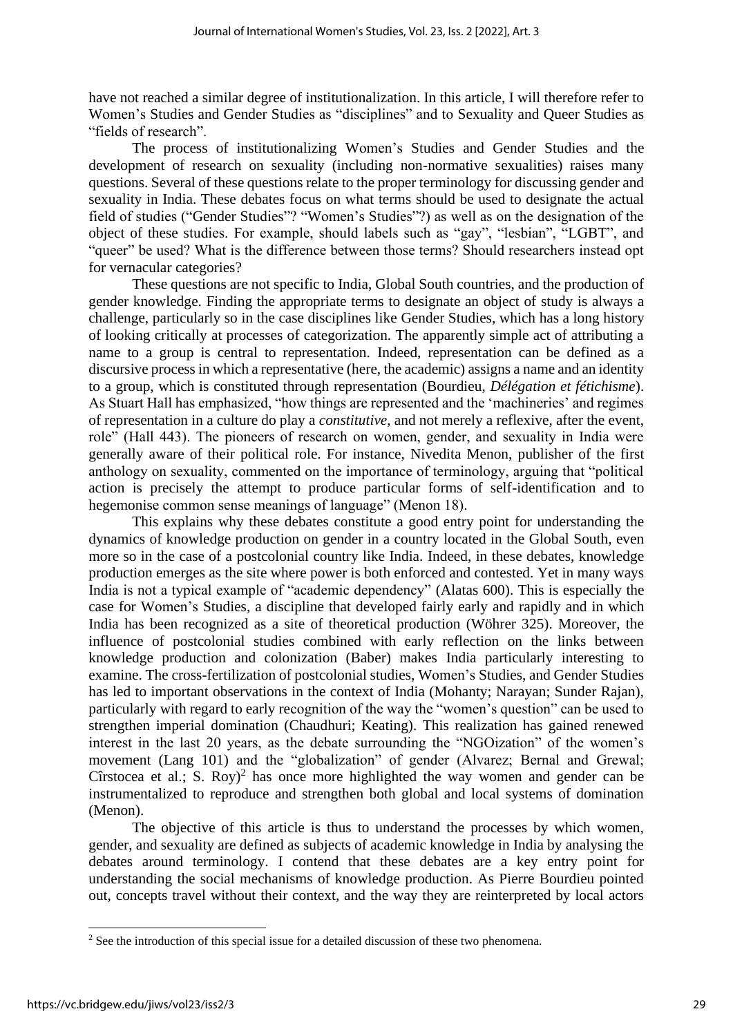have not reached a similar degree of institutionalization. In this article, I will therefore refer to Women's Studies and Gender Studies as "disciplines" and to Sexuality and Queer Studies as "fields of research".

The process of institutionalizing Women's Studies and Gender Studies and the development of research on sexuality (including non-normative sexualities) raises many questions. Several of these questions relate to the proper terminology for discussing gender and sexuality in India. These debates focus on what terms should be used to designate the actual field of studies ("Gender Studies"? "Women's Studies"?) as well as on the designation of the object of these studies. For example, should labels such as "gay", "lesbian", "LGBT", and "queer" be used? What is the difference between those terms? Should researchers instead opt for vernacular categories?

These questions are not specific to India, Global South countries, and the production of gender knowledge. Finding the appropriate terms to designate an object of study is always a challenge, particularly so in the case disciplines like Gender Studies, which has a long history of looking critically at processes of categorization. The apparently simple act of attributing a name to a group is central to representation. Indeed, representation can be defined as a discursive process in which a representative (here, the academic) assigns a name and an identity to a group, which is constituted through representation (Bourdieu, *Délégation et fétichisme*). As Stuart Hall has emphasized, "how things are represented and the 'machineries' and regimes of representation in a culture do play a *constitutive*, and not merely a reflexive, after the event, role" (Hall 443). The pioneers of research on women, gender, and sexuality in India were generally aware of their political role. For instance, Nivedita Menon, publisher of the first anthology on sexuality, commented on the importance of terminology, arguing that "political action is precisely the attempt to produce particular forms of self-identification and to hegemonise common sense meanings of language" (Menon 18).

This explains why these debates constitute a good entry point for understanding the dynamics of knowledge production on gender in a country located in the Global South, even more so in the case of a postcolonial country like India. Indeed, in these debates, knowledge production emerges as the site where power is both enforced and contested. Yet in many ways India is not a typical example of "academic dependency" (Alatas 600). This is especially the case for Women's Studies, a discipline that developed fairly early and rapidly and in which India has been recognized as a site of theoretical production (Wöhrer 325). Moreover, the influence of postcolonial studies combined with early reflection on the links between knowledge production and colonization (Baber) makes India particularly interesting to examine. The cross-fertilization of postcolonial studies, Women's Studies, and Gender Studies has led to important observations in the context of India (Mohanty; Narayan; Sunder Rajan), particularly with regard to early recognition of the way the "women's question" can be used to strengthen imperial domination (Chaudhuri; Keating). This realization has gained renewed interest in the last 20 years, as the debate surrounding the "NGOization" of the women's movement (Lang 101) and the "globalization" of gender (Alvarez; Bernal and Grewal; Cîrstocea et al.; S. Roy)<sup>2</sup> has once more highlighted the way women and gender can be instrumentalized to reproduce and strengthen both global and local systems of domination (Menon).

The objective of this article is thus to understand the processes by which women, gender, and sexuality are defined as subjects of academic knowledge in India by analysing the debates around terminology. I contend that these debates are a key entry point for understanding the social mechanisms of knowledge production. As Pierre Bourdieu pointed out, concepts travel without their context, and the way they are reinterpreted by local actors

<sup>&</sup>lt;sup>2</sup> See the introduction of this special issue for a detailed discussion of these two phenomena.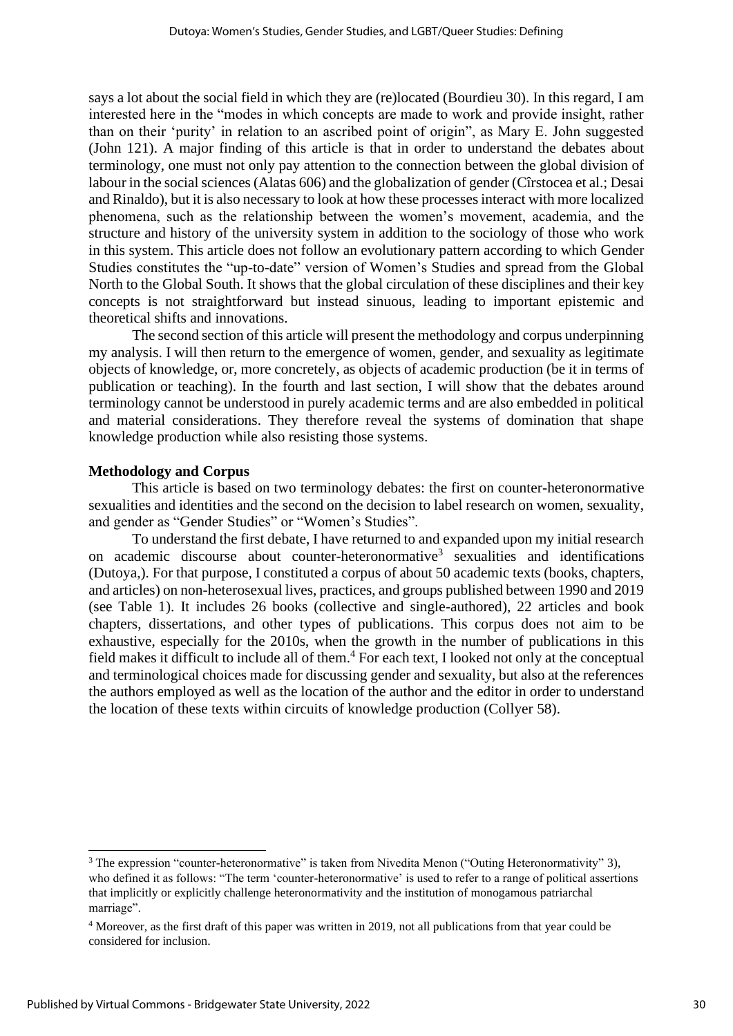says a lot about the social field in which they are (re)located (Bourdieu 30). In this regard, I am interested here in the "modes in which concepts are made to work and provide insight, rather than on their 'purity' in relation to an ascribed point of origin", as Mary E. John suggested (John 121). A major finding of this article is that in order to understand the debates about terminology, one must not only pay attention to the connection between the global division of labour in the social sciences (Alatas 606) and the globalization of gender (Cîrstocea et al.; Desai and Rinaldo), but it is also necessary to look at how these processes interact with more localized phenomena, such as the relationship between the women's movement, academia, and the structure and history of the university system in addition to the sociology of those who work in this system. This article does not follow an evolutionary pattern according to which Gender Studies constitutes the "up-to-date" version of Women's Studies and spread from the Global North to the Global South. It shows that the global circulation of these disciplines and their key concepts is not straightforward but instead sinuous, leading to important epistemic and theoretical shifts and innovations.

The second section of this article will present the methodology and corpus underpinning my analysis. I will then return to the emergence of women, gender, and sexuality as legitimate objects of knowledge, or, more concretely, as objects of academic production (be it in terms of publication or teaching). In the fourth and last section, I will show that the debates around terminology cannot be understood in purely academic terms and are also embedded in political and material considerations. They therefore reveal the systems of domination that shape knowledge production while also resisting those systems.

#### **Methodology and Corpus**

This article is based on two terminology debates: the first on counter-heteronormative sexualities and identities and the second on the decision to label research on women, sexuality, and gender as "Gender Studies" or "Women's Studies".

To understand the first debate, I have returned to and expanded upon my initial research on academic discourse about counter-heteronormative<sup>3</sup> sexualities and identifications (Dutoya,). For that purpose, I constituted a corpus of about 50 academic texts (books, chapters, and articles) on non-heterosexual lives, practices, and groups published between 1990 and 2019 (see Table 1). It includes 26 books (collective and single-authored), 22 articles and book chapters, dissertations, and other types of publications. This corpus does not aim to be exhaustive, especially for the 2010s, when the growth in the number of publications in this field makes it difficult to include all of them.<sup>4</sup> For each text, I looked not only at the conceptual and terminological choices made for discussing gender and sexuality, but also at the references the authors employed as well as the location of the author and the editor in order to understand the location of these texts within circuits of knowledge production (Collyer 58).

<sup>3</sup> The expression "counter-heteronormative" is taken from Nivedita Menon ("Outing Heteronormativity" 3), who defined it as follows: "The term 'counter-heteronormative' is used to refer to a range of political assertions that implicitly or explicitly challenge heteronormativity and the institution of monogamous patriarchal marriage".

<sup>4</sup> Moreover, as the first draft of this paper was written in 2019, not all publications from that year could be considered for inclusion.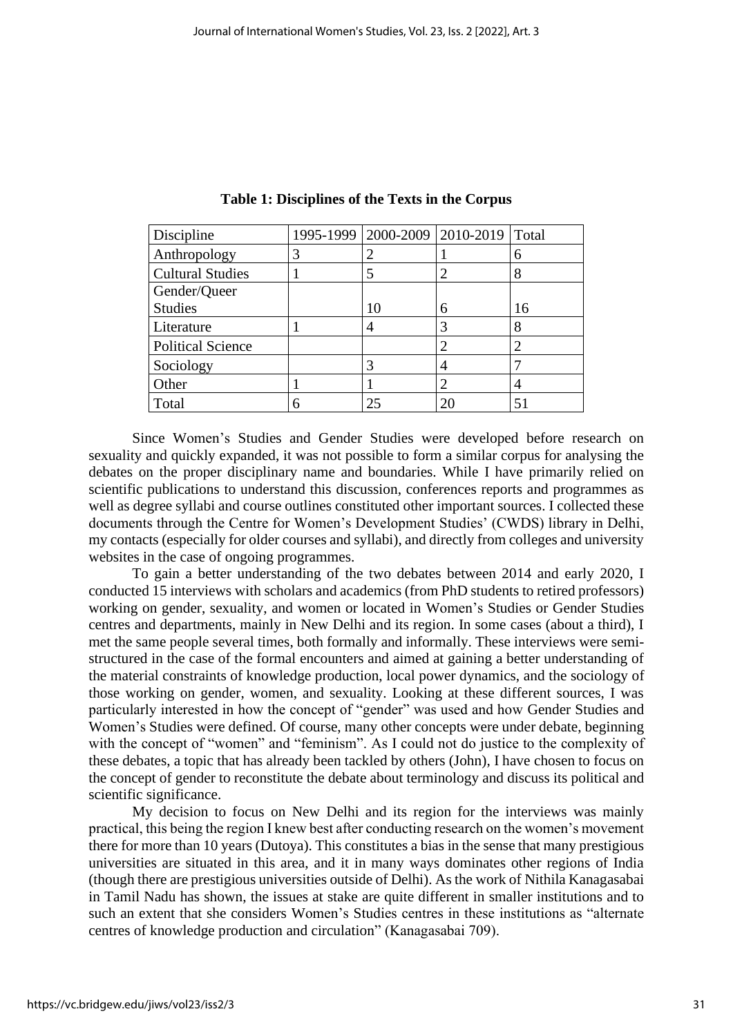| Discipline               |   |    | 1995-1999 2000-2009 2010-2019 Total |    |
|--------------------------|---|----|-------------------------------------|----|
| Anthropology             | 3 |    |                                     | 6  |
| <b>Cultural Studies</b>  |   |    |                                     | 8  |
| Gender/Queer             |   |    |                                     |    |
| <b>Studies</b>           |   | 10 | 6                                   | 16 |
| Literature               |   |    |                                     | 8  |
| <b>Political Science</b> |   |    |                                     |    |
| Sociology                |   |    |                                     |    |
| Other                    |   |    | ി                                   | 4  |
| Total                    | 6 | 25 |                                     | 51 |

**Table 1: Disciplines of the Texts in the Corpus**

Since Women's Studies and Gender Studies were developed before research on sexuality and quickly expanded, it was not possible to form a similar corpus for analysing the debates on the proper disciplinary name and boundaries. While I have primarily relied on scientific publications to understand this discussion, conferences reports and programmes as well as degree syllabi and course outlines constituted other important sources. I collected these documents through the Centre for Women's Development Studies' (CWDS) library in Delhi, my contacts (especially for older courses and syllabi), and directly from colleges and university websites in the case of ongoing programmes.

To gain a better understanding of the two debates between 2014 and early 2020, I conducted 15 interviews with scholars and academics (from PhD students to retired professors) working on gender, sexuality, and women or located in Women's Studies or Gender Studies centres and departments, mainly in New Delhi and its region. In some cases (about a third), I met the same people several times, both formally and informally. These interviews were semistructured in the case of the formal encounters and aimed at gaining a better understanding of the material constraints of knowledge production, local power dynamics, and the sociology of those working on gender, women, and sexuality. Looking at these different sources, I was particularly interested in how the concept of "gender" was used and how Gender Studies and Women's Studies were defined. Of course, many other concepts were under debate, beginning with the concept of "women" and "feminism". As I could not do justice to the complexity of these debates, a topic that has already been tackled by others (John), I have chosen to focus on the concept of gender to reconstitute the debate about terminology and discuss its political and scientific significance.

My decision to focus on New Delhi and its region for the interviews was mainly practical, this being the region I knew best after conducting research on the women's movement there for more than 10 years (Dutoya). This constitutes a bias in the sense that many prestigious universities are situated in this area, and it in many ways dominates other regions of India (though there are prestigious universities outside of Delhi). As the work of Nithila Kanagasabai in Tamil Nadu has shown, the issues at stake are quite different in smaller institutions and to such an extent that she considers Women's Studies centres in these institutions as "alternate centres of knowledge production and circulation" (Kanagasabai 709).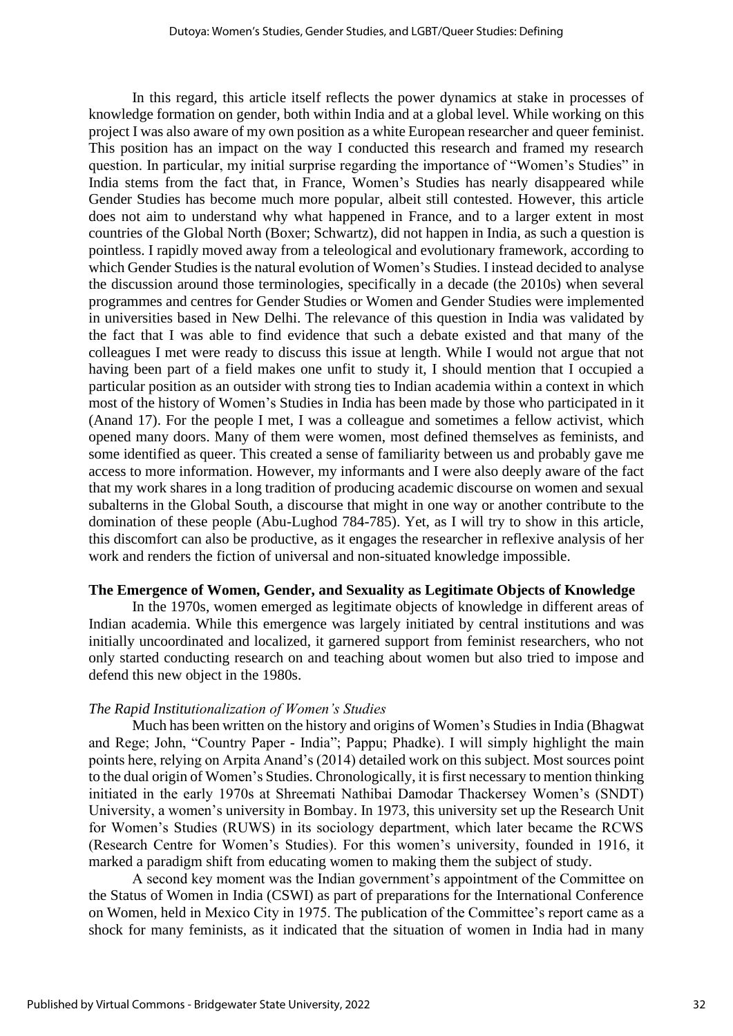In this regard, this article itself reflects the power dynamics at stake in processes of knowledge formation on gender, both within India and at a global level. While working on this project I was also aware of my own position as a white European researcher and queer feminist. This position has an impact on the way I conducted this research and framed my research question. In particular, my initial surprise regarding the importance of "Women's Studies" in India stems from the fact that, in France, Women's Studies has nearly disappeared while Gender Studies has become much more popular, albeit still contested. However, this article does not aim to understand why what happened in France, and to a larger extent in most countries of the Global North (Boxer; Schwartz), did not happen in India, as such a question is pointless. I rapidly moved away from a teleological and evolutionary framework, according to which Gender Studies is the natural evolution of Women's Studies. I instead decided to analyse the discussion around those terminologies, specifically in a decade (the 2010s) when several programmes and centres for Gender Studies or Women and Gender Studies were implemented in universities based in New Delhi. The relevance of this question in India was validated by the fact that I was able to find evidence that such a debate existed and that many of the colleagues I met were ready to discuss this issue at length. While I would not argue that not having been part of a field makes one unfit to study it, I should mention that I occupied a particular position as an outsider with strong ties to Indian academia within a context in which most of the history of Women's Studies in India has been made by those who participated in it (Anand 17). For the people I met, I was a colleague and sometimes a fellow activist, which opened many doors. Many of them were women, most defined themselves as feminists, and some identified as queer. This created a sense of familiarity between us and probably gave me access to more information. However, my informants and I were also deeply aware of the fact that my work shares in a long tradition of producing academic discourse on women and sexual subalterns in the Global South, a discourse that might in one way or another contribute to the domination of these people (Abu-Lughod 784-785). Yet, as I will try to show in this article, this discomfort can also be productive, as it engages the researcher in reflexive analysis of her work and renders the fiction of universal and non-situated knowledge impossible.

#### **The Emergence of Women, Gender, and Sexuality as Legitimate Objects of Knowledge**

In the 1970s, women emerged as legitimate objects of knowledge in different areas of Indian academia. While this emergence was largely initiated by central institutions and was initially uncoordinated and localized, it garnered support from feminist researchers, who not only started conducting research on and teaching about women but also tried to impose and defend this new object in the 1980s.

#### *The Rapid Institutionalization of Women's Studies*

Much has been written on the history and origins of Women's Studies in India (Bhagwat and Rege; John, "Country Paper - India"; Pappu; Phadke). I will simply highlight the main points here, relying on Arpita Anand's (2014) detailed work on this subject. Most sources point to the dual origin of Women's Studies. Chronologically, it is first necessary to mention thinking initiated in the early 1970s at Shreemati Nathibai Damodar Thackersey Women's (SNDT) University, a women's university in Bombay. In 1973, this university set up the Research Unit for Women's Studies (RUWS) in its sociology department, which later became the RCWS (Research Centre for Women's Studies). For this women's university, founded in 1916, it marked a paradigm shift from educating women to making them the subject of study.

A second key moment was the Indian government's appointment of the Committee on the Status of Women in India (CSWI) as part of preparations for the International Conference on Women, held in Mexico City in 1975. The publication of the Committee's report came as a shock for many feminists, as it indicated that the situation of women in India had in many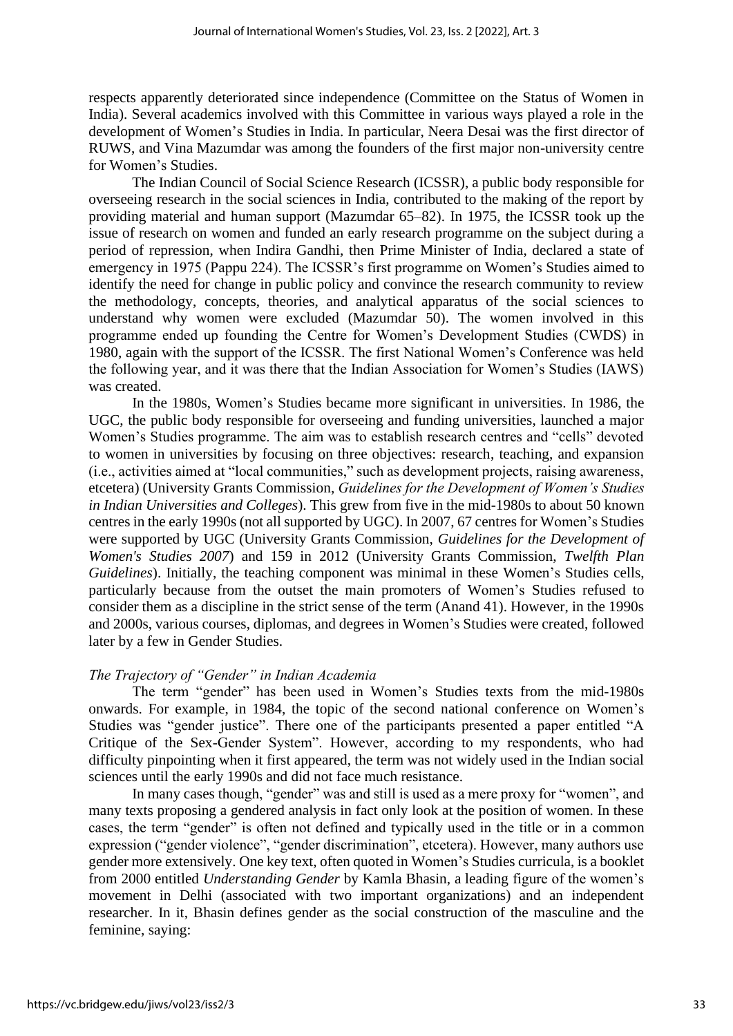respects apparently deteriorated since independence (Committee on the Status of Women in India). Several academics involved with this Committee in various ways played a role in the development of Women's Studies in India. In particular, Neera Desai was the first director of RUWS, and Vina Mazumdar was among the founders of the first major non-university centre for Women's Studies.

The Indian Council of Social Science Research (ICSSR), a public body responsible for overseeing research in the social sciences in India, contributed to the making of the report by providing material and human support (Mazumdar 65–82). In 1975, the ICSSR took up the issue of research on women and funded an early research programme on the subject during a period of repression, when Indira Gandhi, then Prime Minister of India, declared a state of emergency in 1975 (Pappu 224). The ICSSR's first programme on Women's Studies aimed to identify the need for change in public policy and convince the research community to review the methodology, concepts, theories, and analytical apparatus of the social sciences to understand why women were excluded (Mazumdar 50). The women involved in this programme ended up founding the Centre for Women's Development Studies (CWDS) in 1980, again with the support of the ICSSR. The first National Women's Conference was held the following year, and it was there that the Indian Association for Women's Studies (IAWS) was created.

In the 1980s, Women's Studies became more significant in universities. In 1986, the UGC, the public body responsible for overseeing and funding universities, launched a major Women's Studies programme. The aim was to establish research centres and "cells" devoted to women in universities by focusing on three objectives: research, teaching, and expansion (i.e., activities aimed at "local communities," such as development projects, raising awareness, etcetera) (University Grants Commission, *Guidelines for the Development of Women's Studies in Indian Universities and Colleges*). This grew from five in the mid-1980s to about 50 known centres in the early 1990s (not all supported by UGC). In 2007, 67 centres for Women's Studies were supported by UGC (University Grants Commission, *Guidelines for the Development of Women's Studies 2007*) and 159 in 2012 (University Grants Commission, *Twelfth Plan Guidelines*). Initially, the teaching component was minimal in these Women's Studies cells, particularly because from the outset the main promoters of Women's Studies refused to consider them as a discipline in the strict sense of the term (Anand 41). However, in the 1990s and 2000s, various courses, diplomas, and degrees in Women's Studies were created, followed later by a few in Gender Studies.

#### *The Trajectory of "Gender" in Indian Academia*

The term "gender" has been used in Women's Studies texts from the mid-1980s onwards. For example, in 1984, the topic of the second national conference on Women's Studies was "gender justice". There one of the participants presented a paper entitled "A Critique of the Sex-Gender System". However, according to my respondents, who had difficulty pinpointing when it first appeared, the term was not widely used in the Indian social sciences until the early 1990s and did not face much resistance.

In many cases though, "gender" was and still is used as a mere proxy for "women", and many texts proposing a gendered analysis in fact only look at the position of women. In these cases, the term "gender" is often not defined and typically used in the title or in a common expression ("gender violence", "gender discrimination", etcetera). However, many authors use gender more extensively. One key text, often quoted in Women's Studies curricula, is a booklet from 2000 entitled *Understanding Gender* by Kamla Bhasin, a leading figure of the women's movement in Delhi (associated with two important organizations) and an independent researcher. In it, Bhasin defines gender as the social construction of the masculine and the feminine, saying: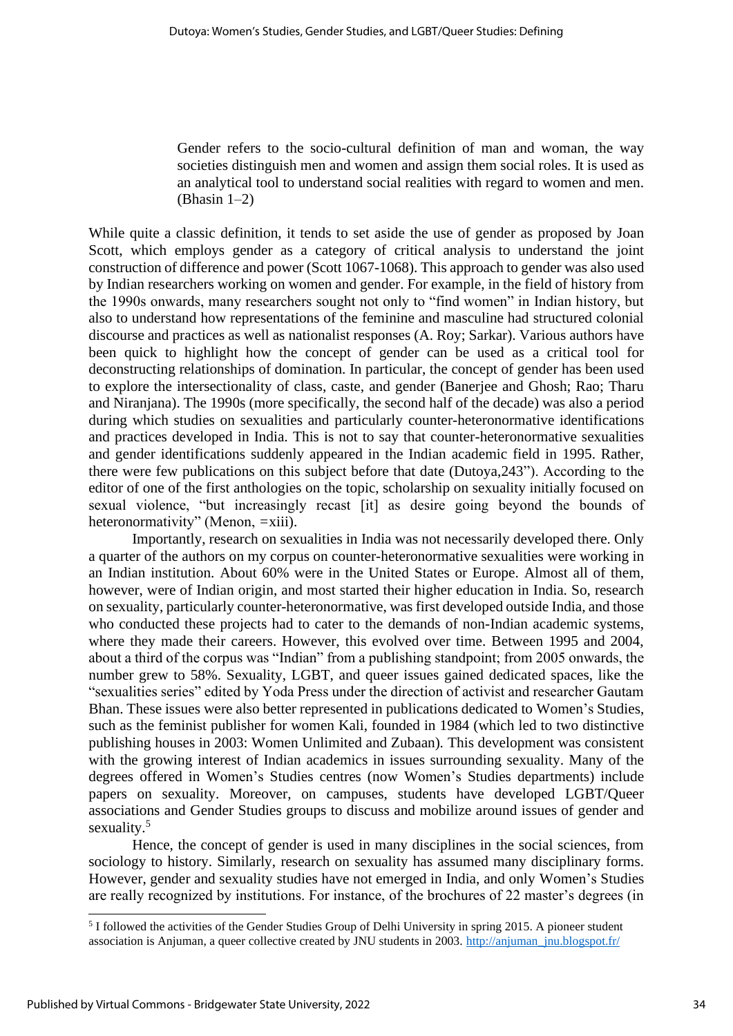Gender refers to the socio-cultural definition of man and woman, the way societies distinguish men and women and assign them social roles. It is used as an analytical tool to understand social realities with regard to women and men. (Bhasin 1–2)

While quite a classic definition, it tends to set aside the use of gender as proposed by Joan Scott, which employs gender as a category of critical analysis to understand the joint construction of difference and power (Scott 1067-1068). This approach to gender was also used by Indian researchers working on women and gender. For example, in the field of history from the 1990s onwards, many researchers sought not only to "find women" in Indian history, but also to understand how representations of the feminine and masculine had structured colonial discourse and practices as well as nationalist responses (A. Roy; Sarkar). Various authors have been quick to highlight how the concept of gender can be used as a critical tool for deconstructing relationships of domination. In particular, the concept of gender has been used to explore the intersectionality of class, caste, and gender (Banerjee and Ghosh; Rao; Tharu and Niranjana). The 1990s (more specifically, the second half of the decade) was also a period during which studies on sexualities and particularly counter-heteronormative identifications and practices developed in India. This is not to say that counter-heteronormative sexualities and gender identifications suddenly appeared in the Indian academic field in 1995. Rather, there were few publications on this subject before that date (Dutoya,243"). According to the editor of one of the first anthologies on the topic, scholarship on sexuality initially focused on sexual violence, "but increasingly recast [it] as desire going beyond the bounds of heteronormativity" (Menon, =xiii).

Importantly, research on sexualities in India was not necessarily developed there. Only a quarter of the authors on my corpus on counter-heteronormative sexualities were working in an Indian institution. About 60% were in the United States or Europe. Almost all of them, however, were of Indian origin, and most started their higher education in India. So, research on sexuality, particularly counter-heteronormative, was first developed outside India, and those who conducted these projects had to cater to the demands of non-Indian academic systems, where they made their careers. However, this evolved over time. Between 1995 and 2004, about a third of the corpus was "Indian" from a publishing standpoint; from 2005 onwards, the number grew to 58%. Sexuality, LGBT, and queer issues gained dedicated spaces, like the "sexualities series" edited by Yoda Press under the direction of activist and researcher Gautam Bhan. These issues were also better represented in publications dedicated to Women's Studies, such as the feminist publisher for women Kali, founded in 1984 (which led to two distinctive publishing houses in 2003: Women Unlimited and Zubaan)*.* This development was consistent with the growing interest of Indian academics in issues surrounding sexuality. Many of the degrees offered in Women's Studies centres (now Women's Studies departments) include papers on sexuality. Moreover, on campuses, students have developed LGBT/Queer associations and Gender Studies groups to discuss and mobilize around issues of gender and sexuality.<sup>5</sup>

Hence, the concept of gender is used in many disciplines in the social sciences, from sociology to history. Similarly, research on sexuality has assumed many disciplinary forms. However, gender and sexuality studies have not emerged in India, and only Women's Studies are really recognized by institutions. For instance, of the brochures of 22 master's degrees (in

<sup>&</sup>lt;sup>5</sup> I followed the activities of the Gender Studies Group of Delhi University in spring 2015. A pioneer student association is Anjuman, a queer collective created by JNU students in 2003. http://anjuman\_jnu.blogspot.fr/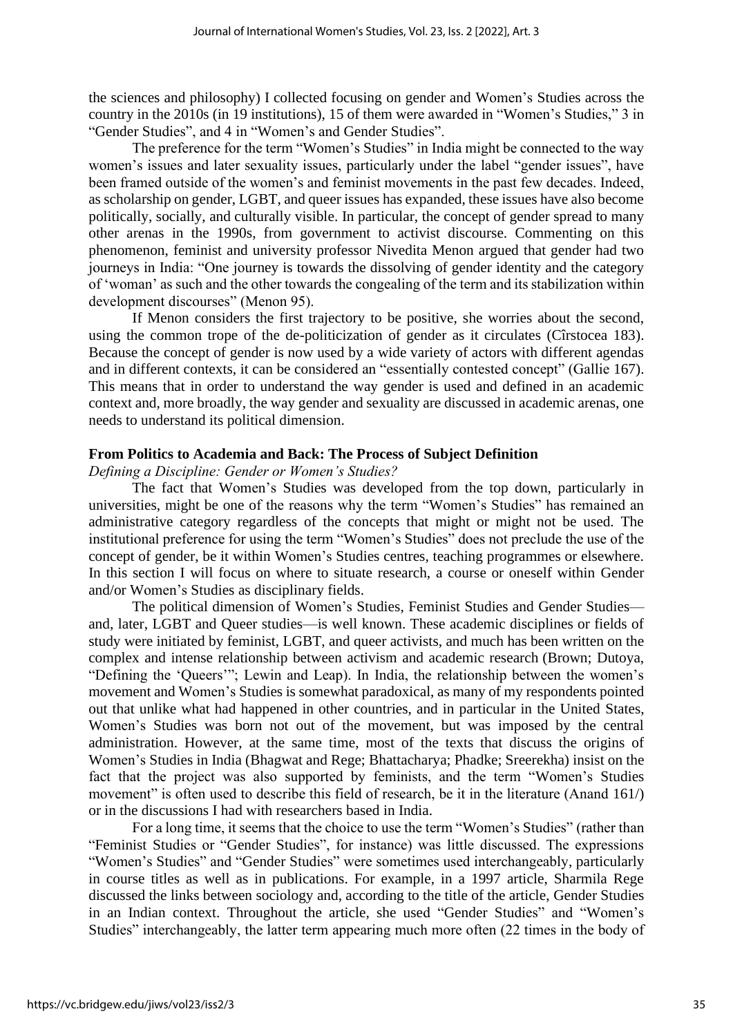the sciences and philosophy) I collected focusing on gender and Women's Studies across the country in the 2010s (in 19 institutions), 15 of them were awarded in "Women's Studies," 3 in "Gender Studies", and 4 in "Women's and Gender Studies".

The preference for the term "Women's Studies" in India might be connected to the way women's issues and later sexuality issues, particularly under the label "gender issues", have been framed outside of the women's and feminist movements in the past few decades. Indeed, as scholarship on gender, LGBT, and queer issues has expanded, these issues have also become politically, socially, and culturally visible. In particular, the concept of gender spread to many other arenas in the 1990s, from government to activist discourse. Commenting on this phenomenon, feminist and university professor Nivedita Menon argued that gender had two journeys in India: "One journey is towards the dissolving of gender identity and the category of 'woman' as such and the other towards the congealing of the term and its stabilization within development discourses" (Menon 95).

If Menon considers the first trajectory to be positive, she worries about the second, using the common trope of the de-politicization of gender as it circulates (Cîrstocea 183). Because the concept of gender is now used by a wide variety of actors with different agendas and in different contexts, it can be considered an "essentially contested concept" (Gallie 167). This means that in order to understand the way gender is used and defined in an academic context and, more broadly, the way gender and sexuality are discussed in academic arenas, one needs to understand its political dimension.

#### **From Politics to Academia and Back: The Process of Subject Definition**

*Defining a Discipline: Gender or Women's Studies?*

The fact that Women's Studies was developed from the top down, particularly in universities, might be one of the reasons why the term "Women's Studies" has remained an administrative category regardless of the concepts that might or might not be used. The institutional preference for using the term "Women's Studies" does not preclude the use of the concept of gender, be it within Women's Studies centres, teaching programmes or elsewhere. In this section I will focus on where to situate research, a course or oneself within Gender and/or Women's Studies as disciplinary fields.

The political dimension of Women's Studies, Feminist Studies and Gender Studies and, later, LGBT and Queer studies—is well known. These academic disciplines or fields of study were initiated by feminist, LGBT, and queer activists, and much has been written on the complex and intense relationship between activism and academic research (Brown; Dutoya, "Defining the 'Queers'"; Lewin and Leap). In India, the relationship between the women's movement and Women's Studies is somewhat paradoxical, as many of my respondents pointed out that unlike what had happened in other countries, and in particular in the United States, Women's Studies was born not out of the movement, but was imposed by the central administration. However, at the same time, most of the texts that discuss the origins of Women's Studies in India (Bhagwat and Rege; Bhattacharya; Phadke; Sreerekha) insist on the fact that the project was also supported by feminists, and the term "Women's Studies movement" is often used to describe this field of research, be it in the literature (Anand 161/) or in the discussions I had with researchers based in India.

For a long time, it seems that the choice to use the term "Women's Studies" (rather than "Feminist Studies or "Gender Studies", for instance) was little discussed. The expressions "Women's Studies" and "Gender Studies" were sometimes used interchangeably, particularly in course titles as well as in publications. For example, in a 1997 article, Sharmila Rege discussed the links between sociology and, according to the title of the article, Gender Studies in an Indian context. Throughout the article, she used "Gender Studies" and "Women's Studies" interchangeably, the latter term appearing much more often (22 times in the body of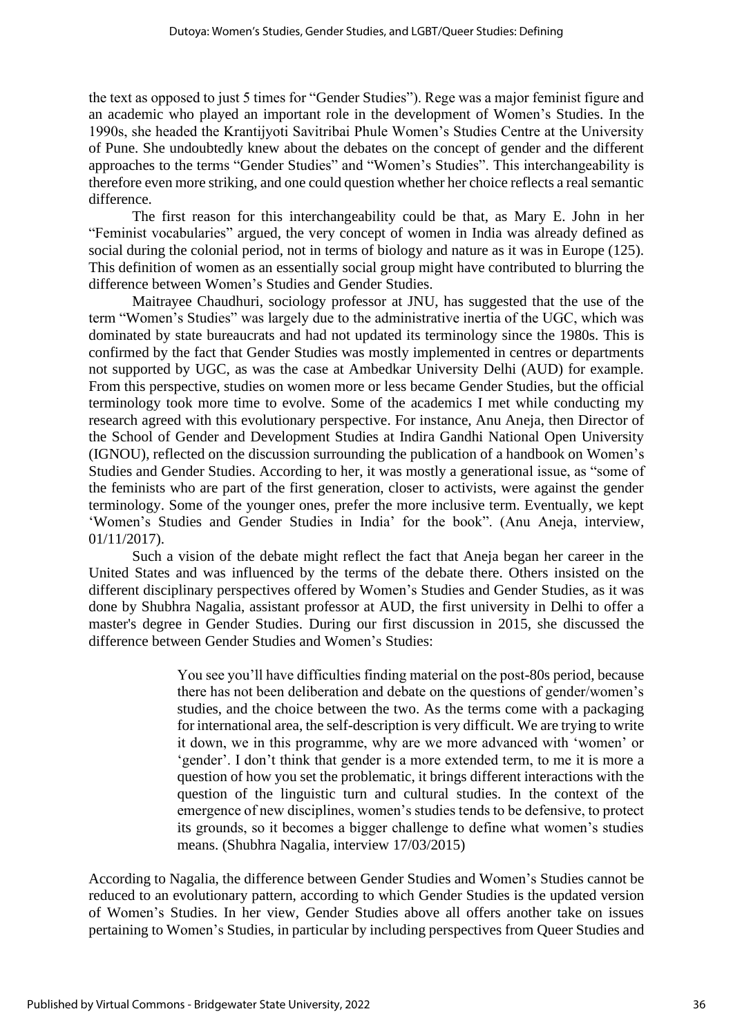the text as opposed to just 5 times for "Gender Studies"). Rege was a major feminist figure and an academic who played an important role in the development of Women's Studies. In the 1990s, she headed the Krantijyoti Savitribai Phule Women's Studies Centre at the University of Pune. She undoubtedly knew about the debates on the concept of gender and the different approaches to the terms "Gender Studies" and "Women's Studies". This interchangeability is therefore even more striking, and one could question whether her choice reflects a real semantic difference.

The first reason for this interchangeability could be that, as Mary E. John in her "Feminist vocabularies" argued, the very concept of women in India was already defined as social during the colonial period, not in terms of biology and nature as it was in Europe (125). This definition of women as an essentially social group might have contributed to blurring the difference between Women's Studies and Gender Studies.

Maitrayee Chaudhuri, sociology professor at JNU, has suggested that the use of the term "Women's Studies" was largely due to the administrative inertia of the UGC, which was dominated by state bureaucrats and had not updated its terminology since the 1980s. This is confirmed by the fact that Gender Studies was mostly implemented in centres or departments not supported by UGC, as was the case at Ambedkar University Delhi (AUD) for example. From this perspective, studies on women more or less became Gender Studies, but the official terminology took more time to evolve. Some of the academics I met while conducting my research agreed with this evolutionary perspective. For instance, Anu Aneja, then Director of the School of Gender and Development Studies at Indira Gandhi National Open University (IGNOU), reflected on the discussion surrounding the publication of a handbook on Women's Studies and Gender Studies. According to her, it was mostly a generational issue, as "some of the feminists who are part of the first generation, closer to activists, were against the gender terminology. Some of the younger ones, prefer the more inclusive term. Eventually, we kept 'Women's Studies and Gender Studies in India' for the book". (Anu Aneja, interview, 01/11/2017).

Such a vision of the debate might reflect the fact that Aneja began her career in the United States and was influenced by the terms of the debate there. Others insisted on the different disciplinary perspectives offered by Women's Studies and Gender Studies, as it was done by Shubhra Nagalia, assistant professor at AUD, the first university in Delhi to offer a master's degree in Gender Studies. During our first discussion in 2015, she discussed the difference between Gender Studies and Women's Studies:

> You see you'll have difficulties finding material on the post-80s period, because there has not been deliberation and debate on the questions of gender/women's studies, and the choice between the two. As the terms come with a packaging for international area, the self-description is very difficult. We are trying to write it down, we in this programme, why are we more advanced with 'women' or 'gender'. I don't think that gender is a more extended term, to me it is more a question of how you set the problematic, it brings different interactions with the question of the linguistic turn and cultural studies. In the context of the emergence of new disciplines, women's studies tends to be defensive, to protect its grounds, so it becomes a bigger challenge to define what women's studies means. (Shubhra Nagalia, interview 17/03/2015)

According to Nagalia, the difference between Gender Studies and Women's Studies cannot be reduced to an evolutionary pattern, according to which Gender Studies is the updated version of Women's Studies. In her view, Gender Studies above all offers another take on issues pertaining to Women's Studies, in particular by including perspectives from Queer Studies and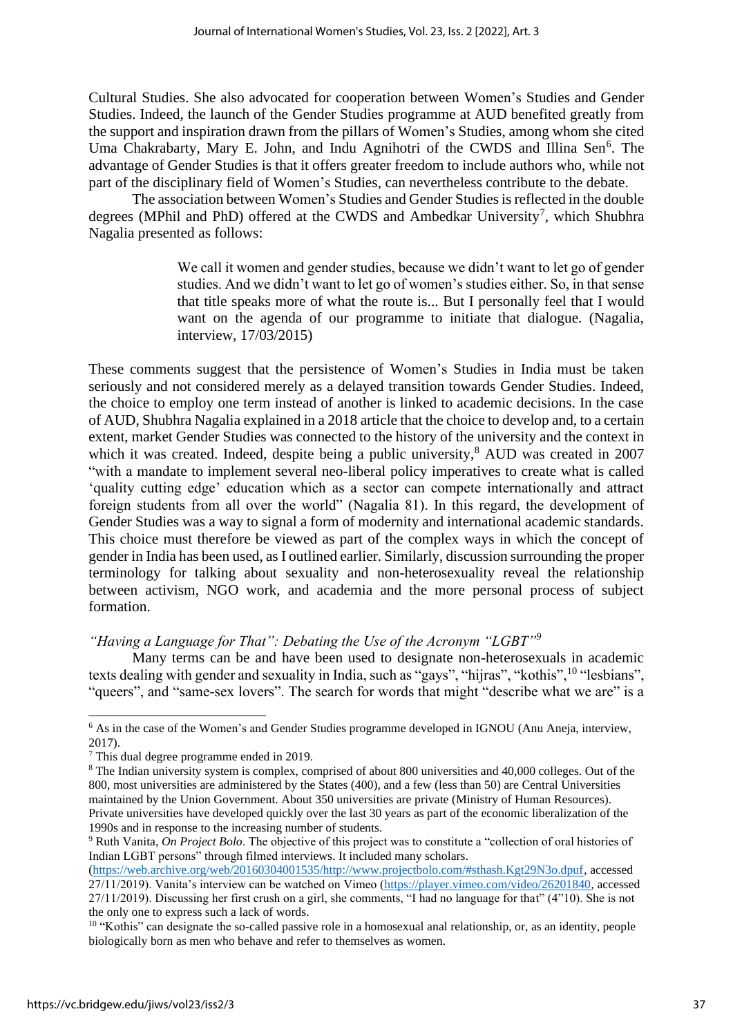Cultural Studies. She also advocated for cooperation between Women's Studies and Gender Studies. Indeed, the launch of the Gender Studies programme at AUD benefited greatly from the support and inspiration drawn from the pillars of Women's Studies, among whom she cited Uma Chakrabarty, Mary E. John, and Indu Agnihotri of the CWDS and Illina Sen<sup>6</sup>. The advantage of Gender Studies is that it offers greater freedom to include authors who, while not part of the disciplinary field of Women's Studies, can nevertheless contribute to the debate.

The association between Women's Studies and Gender Studies is reflected in the double degrees (MPhil and PhD) offered at the CWDS and Ambedkar University<sup>7</sup>, which Shubhra Nagalia presented as follows:

> We call it women and gender studies, because we didn't want to let go of gender studies. And we didn't want to let go of women's studies either. So, in that sense that title speaks more of what the route is... But I personally feel that I would want on the agenda of our programme to initiate that dialogue. (Nagalia, interview, 17/03/2015)

These comments suggest that the persistence of Women's Studies in India must be taken seriously and not considered merely as a delayed transition towards Gender Studies. Indeed, the choice to employ one term instead of another is linked to academic decisions. In the case of AUD, Shubhra Nagalia explained in a 2018 article that the choice to develop and, to a certain extent, market Gender Studies was connected to the history of the university and the context in which it was created. Indeed, despite being a public university,<sup>8</sup> AUD was created in 2007 "with a mandate to implement several neo-liberal policy imperatives to create what is called 'quality cutting edge' education which as a sector can compete internationally and attract foreign students from all over the world" (Nagalia 81). In this regard, the development of Gender Studies was a way to signal a form of modernity and international academic standards. This choice must therefore be viewed as part of the complex ways in which the concept of gender in India has been used, as I outlined earlier. Similarly, discussion surrounding the proper terminology for talking about sexuality and non-heterosexuality reveal the relationship between activism, NGO work, and academia and the more personal process of subject formation.

#### *"Having a Language for That": Debating the Use of the Acronym "LGBT"<sup>9</sup>*

Many terms can be and have been used to designate non-heterosexuals in academic texts dealing with gender and sexuality in India, such as "gays", "hijras", "kothis",<sup>10</sup> "lesbians", "queers", and "same-sex lovers". The search for words that might "describe what we are" is a

<sup>6</sup> As in the case of the Women's and Gender Studies programme developed in IGNOU (Anu Aneja, interview, 2017).

<sup>7</sup> This dual degree programme ended in 2019.

<sup>8</sup> The Indian university system is complex, comprised of about 800 universities and 40,000 colleges. Out of the 800, most universities are administered by the States (400), and a few (less than 50) are Central Universities maintained by the Union Government. About 350 universities are private (Ministry of Human Resources). Private universities have developed quickly over the last 30 years as part of the economic liberalization of the 1990s and in response to the increasing number of students.

<sup>9</sup> Ruth Vanita, *On Project Bolo*. The objective of this project was to constitute a "collection of oral histories of Indian LGBT persons" through filmed interviews. It included many scholars.

[<sup>\(</sup>https://web.archive.org/web/20160304001535/http://www.projectbolo.com/#sthash.Kgt29N3o.dpuf,](https://web.archive.org/web/20160304001535/http:/www.projectbolo.com/#sthash.Kgt29N3o.dpuf) accessed 27/11/2019). Vanita's interview can be watched on Vimeo [\(https://player.vimeo.com/video/26201840,](https://player.vimeo.com/video/26201840) accessed 27/11/2019). Discussing her first crush on a girl, she comments, "I had no language for that" (4"10). She is not the only one to express such a lack of words.

<sup>&</sup>lt;sup>10</sup> "Kothis" can designate the so-called passive role in a homosexual anal relationship, or, as an identity, people biologically born as men who behave and refer to themselves as women.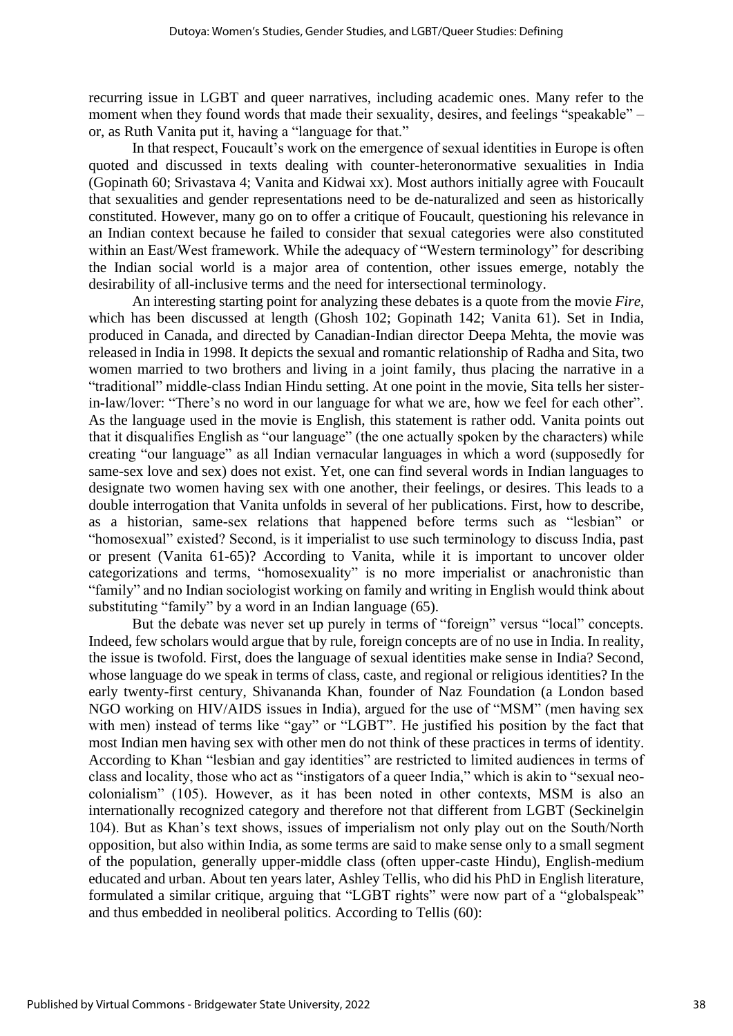recurring issue in LGBT and queer narratives, including academic ones. Many refer to the moment when they found words that made their sexuality, desires, and feelings "speakable" – or, as Ruth Vanita put it, having a "language for that."

In that respect, Foucault's work on the emergence of sexual identities in Europe is often quoted and discussed in texts dealing with counter-heteronormative sexualities in India (Gopinath 60; Srivastava 4; Vanita and Kidwai xx). Most authors initially agree with Foucault that sexualities and gender representations need to be de-naturalized and seen as historically constituted. However, many go on to offer a critique of Foucault, questioning his relevance in an Indian context because he failed to consider that sexual categories were also constituted within an East/West framework. While the adequacy of "Western terminology" for describing the Indian social world is a major area of contention, other issues emerge, notably the desirability of all-inclusive terms and the need for intersectional terminology.

An interesting starting point for analyzing these debates is a quote from the movie *Fire*, which has been discussed at length (Ghosh 102; Gopinath 142; Vanita 61). Set in India, produced in Canada, and directed by Canadian-Indian director Deepa Mehta, the movie was released in India in 1998. It depicts the sexual and romantic relationship of Radha and Sita, two women married to two brothers and living in a joint family, thus placing the narrative in a "traditional" middle-class Indian Hindu setting. At one point in the movie, Sita tells her sisterin-law/lover: "There's no word in our language for what we are, how we feel for each other". As the language used in the movie is English, this statement is rather odd. Vanita points out that it disqualifies English as "our language" (the one actually spoken by the characters) while creating "our language" as all Indian vernacular languages in which a word (supposedly for same-sex love and sex) does not exist. Yet, one can find several words in Indian languages to designate two women having sex with one another, their feelings, or desires. This leads to a double interrogation that Vanita unfolds in several of her publications. First, how to describe, as a historian, same-sex relations that happened before terms such as "lesbian" or "homosexual" existed? Second, is it imperialist to use such terminology to discuss India, past or present (Vanita 61-65)? According to Vanita, while it is important to uncover older categorizations and terms, "homosexuality" is no more imperialist or anachronistic than "family" and no Indian sociologist working on family and writing in English would think about substituting "family" by a word in an Indian language (65).

But the debate was never set up purely in terms of "foreign" versus "local" concepts. Indeed, few scholars would argue that by rule, foreign concepts are of no use in India. In reality, the issue is twofold. First, does the language of sexual identities make sense in India? Second, whose language do we speak in terms of class, caste, and regional or religious identities? In the early twenty-first century, Shivananda Khan, founder of Naz Foundation (a London based NGO working on HIV/AIDS issues in India), argued for the use of "MSM" (men having sex with men) instead of terms like "gay" or "LGBT". He justified his position by the fact that most Indian men having sex with other men do not think of these practices in terms of identity. According to Khan "lesbian and gay identities" are restricted to limited audiences in terms of class and locality, those who act as "instigators of a queer India," which is akin to "sexual neocolonialism" (105). However, as it has been noted in other contexts, MSM is also an internationally recognized category and therefore not that different from LGBT (Seckinelgin 104). But as Khan's text shows, issues of imperialism not only play out on the South/North opposition, but also within India, as some terms are said to make sense only to a small segment of the population, generally upper-middle class (often upper-caste Hindu), English-medium educated and urban. About ten years later, Ashley Tellis, who did his PhD in English literature, formulated a similar critique, arguing that "LGBT rights" were now part of a "globalspeak" and thus embedded in neoliberal politics. According to Tellis (60):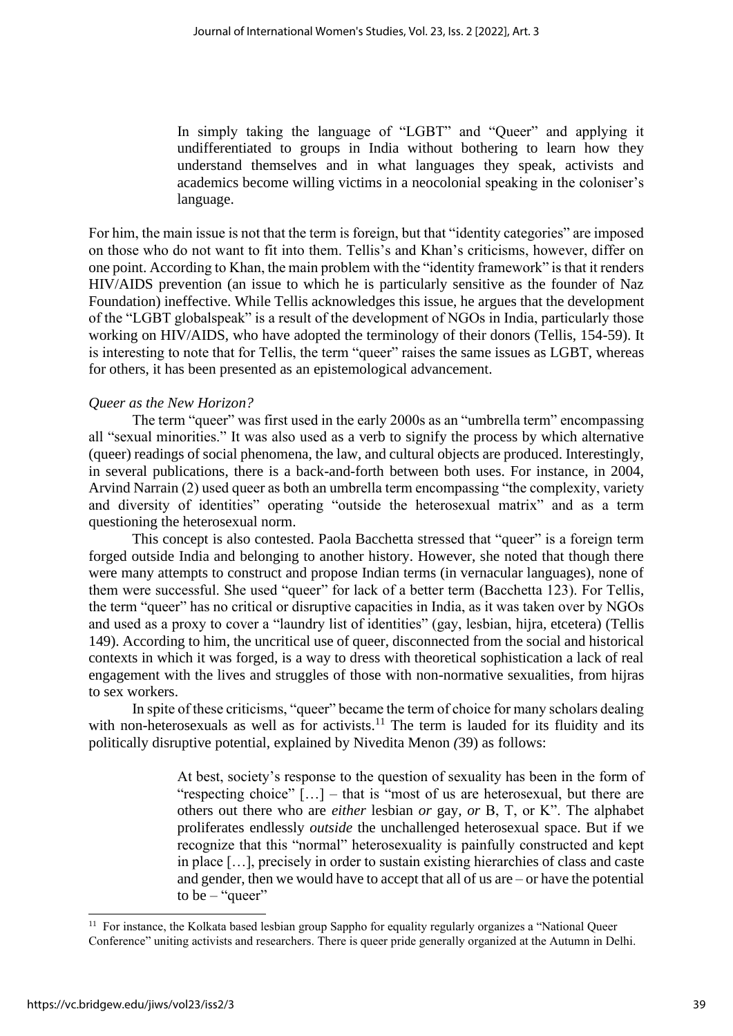In simply taking the language of "LGBT" and "Queer" and applying it undifferentiated to groups in India without bothering to learn how they understand themselves and in what languages they speak, activists and academics become willing victims in a neocolonial speaking in the coloniser's language.

For him, the main issue is not that the term is foreign, but that "identity categories" are imposed on those who do not want to fit into them. Tellis's and Khan's criticisms, however, differ on one point. According to Khan, the main problem with the "identity framework" is that it renders HIV/AIDS prevention (an issue to which he is particularly sensitive as the founder of Naz Foundation) ineffective. While Tellis acknowledges this issue, he argues that the development of the "LGBT globalspeak" is a result of the development of NGOs in India, particularly those working on HIV/AIDS, who have adopted the terminology of their donors (Tellis, 154-59). It is interesting to note that for Tellis, the term "queer" raises the same issues as LGBT, whereas for others, it has been presented as an epistemological advancement.

#### *Queer as the New Horizon?*

The term "queer" was first used in the early 2000s as an "umbrella term" encompassing all "sexual minorities." It was also used as a verb to signify the process by which alternative (queer) readings of social phenomena, the law, and cultural objects are produced. Interestingly, in several publications, there is a back-and-forth between both uses. For instance, in 2004, Arvind Narrain (2) used queer as both an umbrella term encompassing "the complexity, variety and diversity of identities" operating "outside the heterosexual matrix" and as a term questioning the heterosexual norm.

This concept is also contested. Paola Bacchetta stressed that "queer" is a foreign term forged outside India and belonging to another history. However, she noted that though there were many attempts to construct and propose Indian terms (in vernacular languages), none of them were successful. She used "queer" for lack of a better term (Bacchetta 123). For Tellis, the term "queer" has no critical or disruptive capacities in India, as it was taken over by NGOs and used as a proxy to cover a "laundry list of identities" (gay, lesbian, hijra, etcetera) (Tellis 149). According to him, the uncritical use of queer, disconnected from the social and historical contexts in which it was forged, is a way to dress with theoretical sophistication a lack of real engagement with the lives and struggles of those with non-normative sexualities, from hijras to sex workers.

In spite of these criticisms, "queer" became the term of choice for many scholars dealing with non-heterosexuals as well as for activists.<sup>11</sup> The term is lauded for its fluidity and its politically disruptive potential, explained by Nivedita Menon *(*39) as follows:

> At best, society's response to the question of sexuality has been in the form of "respecting choice" […] – that is "most of us are heterosexual, but there are others out there who are *either* lesbian *or* gay, *or* B, T, or K". The alphabet proliferates endlessly *outside* the unchallenged heterosexual space. But if we recognize that this "normal" heterosexuality is painfully constructed and kept in place […], precisely in order to sustain existing hierarchies of class and caste and gender, then we would have to accept that all of us are – or have the potential to be  $-$  "queer"

<sup>&</sup>lt;sup>11</sup> For instance, the Kolkata based lesbian group Sappho for equality regularly organizes a "National Queer" Conference" uniting activists and researchers. There is queer pride generally organized at the Autumn in Delhi.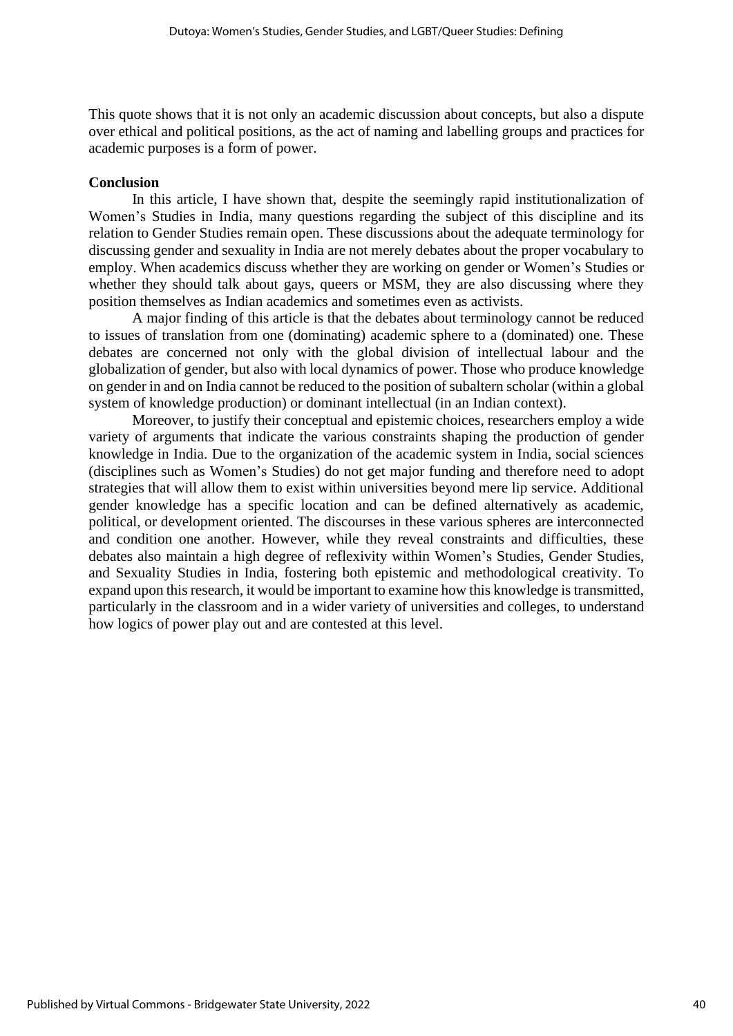This quote shows that it is not only an academic discussion about concepts, but also a dispute over ethical and political positions, as the act of naming and labelling groups and practices for academic purposes is a form of power.

#### **Conclusion**

In this article, I have shown that, despite the seemingly rapid institutionalization of Women's Studies in India, many questions regarding the subject of this discipline and its relation to Gender Studies remain open. These discussions about the adequate terminology for discussing gender and sexuality in India are not merely debates about the proper vocabulary to employ. When academics discuss whether they are working on gender or Women's Studies or whether they should talk about gays, queers or MSM, they are also discussing where they position themselves as Indian academics and sometimes even as activists.

A major finding of this article is that the debates about terminology cannot be reduced to issues of translation from one (dominating) academic sphere to a (dominated) one. These debates are concerned not only with the global division of intellectual labour and the globalization of gender, but also with local dynamics of power. Those who produce knowledge on gender in and on India cannot be reduced to the position of subaltern scholar (within a global system of knowledge production) or dominant intellectual (in an Indian context).

Moreover, to justify their conceptual and epistemic choices, researchers employ a wide variety of arguments that indicate the various constraints shaping the production of gender knowledge in India. Due to the organization of the academic system in India, social sciences (disciplines such as Women's Studies) do not get major funding and therefore need to adopt strategies that will allow them to exist within universities beyond mere lip service. Additional gender knowledge has a specific location and can be defined alternatively as academic, political, or development oriented. The discourses in these various spheres are interconnected and condition one another. However, while they reveal constraints and difficulties, these debates also maintain a high degree of reflexivity within Women's Studies, Gender Studies, and Sexuality Studies in India, fostering both epistemic and methodological creativity. To expand upon this research, it would be important to examine how this knowledge is transmitted, particularly in the classroom and in a wider variety of universities and colleges, to understand how logics of power play out and are contested at this level.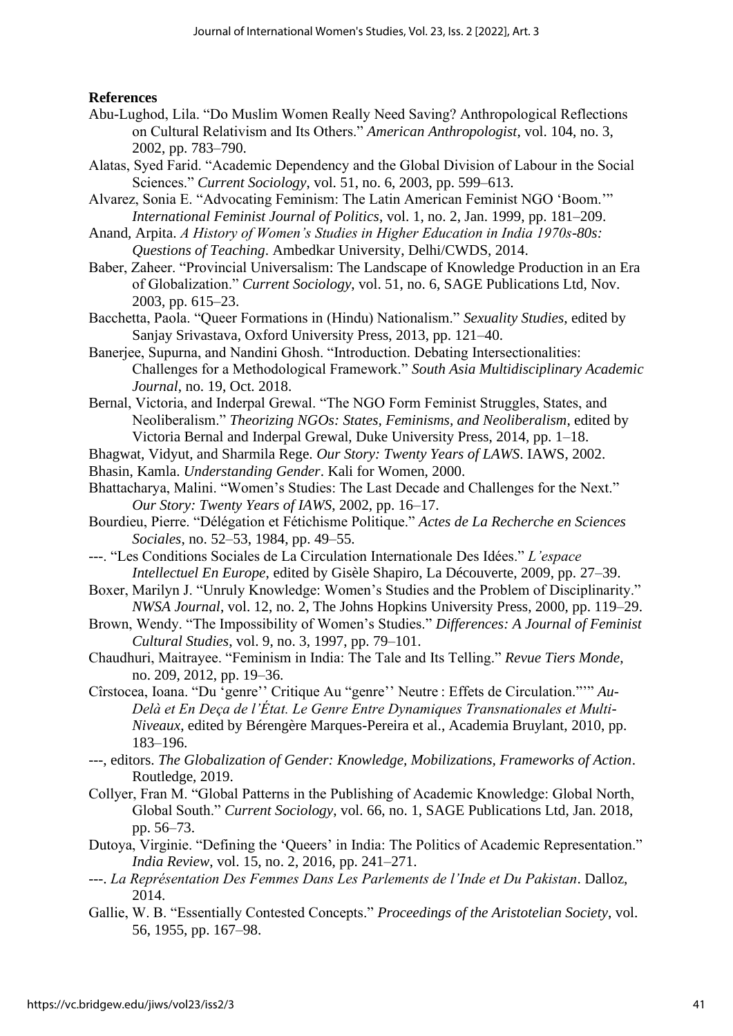# **References**

- Abu-Lughod, Lila. "Do Muslim Women Really Need Saving? Anthropological Reflections on Cultural Relativism and Its Others." *American Anthropologist*, vol. 104, no. 3, 2002, pp. 783–790.
- Alatas, Syed Farid. "Academic Dependency and the Global Division of Labour in the Social Sciences." *Current Sociology*, vol. 51, no. 6, 2003, pp. 599–613.
- Alvarez, Sonia E. "Advocating Feminism: The Latin American Feminist NGO 'Boom.'" *International Feminist Journal of Politics*, vol. 1, no. 2, Jan. 1999, pp. 181–209.
- Anand, Arpita. *A History of Women's Studies in Higher Education in India 1970s-80s: Questions of Teaching*. Ambedkar University, Delhi/CWDS, 2014.
- Baber, Zaheer. "Provincial Universalism: The Landscape of Knowledge Production in an Era of Globalization." *Current Sociology*, vol. 51, no. 6, SAGE Publications Ltd, Nov. 2003, pp. 615–23.
- Bacchetta, Paola. "Queer Formations in (Hindu) Nationalism." *Sexuality Studies*, edited by Sanjay Srivastava, Oxford University Press, 2013, pp. 121–40.
- Banerjee, Supurna, and Nandini Ghosh. "Introduction. Debating Intersectionalities: Challenges for a Methodological Framework." *South Asia Multidisciplinary Academic Journal*, no. 19, Oct. 2018.
- Bernal, Victoria, and Inderpal Grewal. "The NGO Form Feminist Struggles, States, and Neoliberalism." *Theorizing NGOs: States, Feminisms, and Neoliberalism*, edited by Victoria Bernal and Inderpal Grewal, Duke University Press, 2014, pp. 1–18.
- Bhagwat, Vidyut, and Sharmila Rege. *Our Story: Twenty Years of LAWS*. IAWS, 2002.
- Bhasin, Kamla. *Understanding Gender*. Kali for Women, 2000.
- Bhattacharya, Malini. "Women's Studies: The Last Decade and Challenges for the Next." *Our Story: Twenty Years of IAWS*, 2002, pp. 16–17.
- Bourdieu, Pierre. "Délégation et Fétichisme Politique." *Actes de La Recherche en Sciences Sociales*, no. 52–53, 1984, pp. 49–55.
- ---. "Les Conditions Sociales de La Circulation Internationale Des Idées." *L'espace Intellectuel En Europe*, edited by Gisèle Shapiro, La Découverte, 2009, pp. 27–39.
- Boxer, Marilyn J. "Unruly Knowledge: Women's Studies and the Problem of Disciplinarity." *NWSA Journal*, vol. 12, no. 2, The Johns Hopkins University Press, 2000, pp. 119–29.
- Brown, Wendy. "The Impossibility of Women's Studies." *Differences: A Journal of Feminist Cultural Studies*, vol. 9, no. 3, 1997, pp. 79–101.
- Chaudhuri, Maitrayee. "Feminism in India: The Tale and Its Telling." *Revue Tiers Monde*, no. 209, 2012, pp. 19–36.
- Cîrstocea, Ioana. "Du 'genre'' Critique Au "genre'' Neutre : Effets de Circulation."'" *Au-Delà et En Deça de l'État. Le Genre Entre Dynamiques Transnationales et Multi-Niveaux*, edited by Bérengère Marques-Pereira et al., Academia Bruylant, 2010, pp. 183–196.
- ---, editors. *The Globalization of Gender: Knowledge, Mobilizations, Frameworks of Action*. Routledge, 2019.
- Collyer, Fran M. "Global Patterns in the Publishing of Academic Knowledge: Global North, Global South." *Current Sociology*, vol. 66, no. 1, SAGE Publications Ltd, Jan. 2018, pp. 56–73.
- Dutoya, Virginie. "Defining the 'Queers' in India: The Politics of Academic Representation." *India Review*, vol. 15, no. 2, 2016, pp. 241–271.
- ---. *La Représentation Des Femmes Dans Les Parlements de l'Inde et Du Pakistan*. Dalloz, 2014.
- Gallie, W. B. "Essentially Contested Concepts." *Proceedings of the Aristotelian Society*, vol. 56, 1955, pp. 167–98.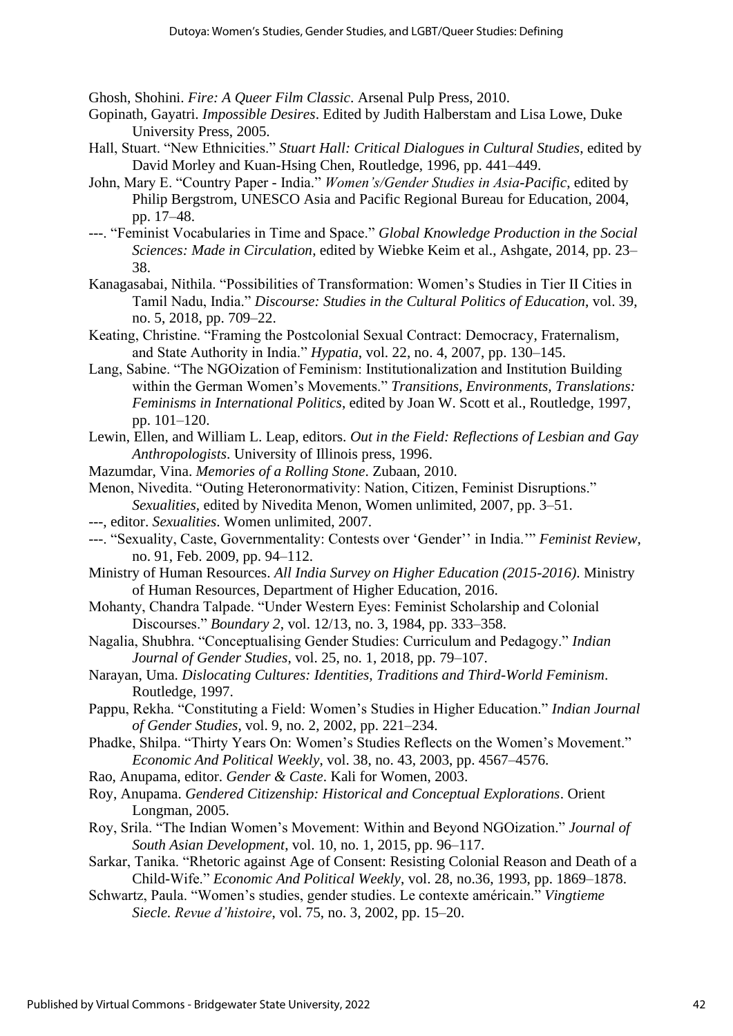Ghosh, Shohini. *Fire: A Queer Film Classic*. Arsenal Pulp Press, 2010.

- Gopinath, Gayatri. *Impossible Desires*. Edited by Judith Halberstam and Lisa Lowe, Duke University Press, 2005.
- Hall, Stuart. "New Ethnicities." *Stuart Hall: Critical Dialogues in Cultural Studies*, edited by David Morley and Kuan-Hsing Chen, Routledge, 1996, pp. 441–449.
- John, Mary E. "Country Paper India." *Women's/Gender Studies in Asia-Pacific*, edited by Philip Bergstrom, UNESCO Asia and Pacific Regional Bureau for Education, 2004, pp. 17–48.
- ---. "Feminist Vocabularies in Time and Space." *Global Knowledge Production in the Social Sciences: Made in Circulation*, edited by Wiebke Keim et al., Ashgate, 2014, pp. 23– 38.
- Kanagasabai, Nithila. "Possibilities of Transformation: Women's Studies in Tier II Cities in Tamil Nadu, India." *Discourse: Studies in the Cultural Politics of Education*, vol. 39, no. 5, 2018, pp. 709–22.
- Keating, Christine. "Framing the Postcolonial Sexual Contract: Democracy, Fraternalism, and State Authority in India." *Hypatia*, vol. 22, no. 4, 2007, pp. 130–145.
- Lang, Sabine. "The NGOization of Feminism: Institutionalization and Institution Building within the German Women's Movements." *Transitions, Environments, Translations: Feminisms in International Politics*, edited by Joan W. Scott et al., Routledge, 1997, pp. 101–120.
- Lewin, Ellen, and William L. Leap, editors. *Out in the Field: Reflections of Lesbian and Gay Anthropologists*. University of Illinois press, 1996.
- Mazumdar, Vina. *Memories of a Rolling Stone*. Zubaan, 2010.
- Menon, Nivedita. "Outing Heteronormativity: Nation, Citizen, Feminist Disruptions." *Sexualities*, edited by Nivedita Menon, Women unlimited, 2007, pp. 3–51.
- ---, editor. *Sexualities*. Women unlimited, 2007.
- ---. "Sexuality, Caste, Governmentality: Contests over 'Gender'' in India.'" *Feminist Review*, no. 91, Feb. 2009, pp. 94–112.
- Ministry of Human Resources. *All India Survey on Higher Education (2015-2016)*. Ministry of Human Resources, Department of Higher Education, 2016.
- Mohanty, Chandra Talpade. "Under Western Eyes: Feminist Scholarship and Colonial Discourses." *Boundary 2*, vol. 12/13, no. 3, 1984, pp. 333–358.
- Nagalia, Shubhra. "Conceptualising Gender Studies: Curriculum and Pedagogy." *Indian Journal of Gender Studies*, vol. 25, no. 1, 2018, pp. 79–107.
- Narayan, Uma. *Dislocating Cultures: Identities, Traditions and Third-World Feminism*. Routledge, 1997.
- Pappu, Rekha. "Constituting a Field: Women's Studies in Higher Education." *Indian Journal of Gender Studies*, vol. 9, no. 2, 2002, pp. 221–234.
- Phadke, Shilpa. "Thirty Years On: Women's Studies Reflects on the Women's Movement." *Economic And Political Weekly*, vol. 38, no. 43, 2003, pp. 4567–4576.
- Rao, Anupama, editor. *Gender & Caste*. Kali for Women, 2003.
- Roy, Anupama. *Gendered Citizenship: Historical and Conceptual Explorations*. Orient Longman, 2005.
- Roy, Srila. "The Indian Women's Movement: Within and Beyond NGOization." *Journal of South Asian Development*, vol. 10, no. 1, 2015, pp. 96–117.
- Sarkar, Tanika. "Rhetoric against Age of Consent: Resisting Colonial Reason and Death of a Child-Wife." *Economic And Political Weekly*, vol. 28, no.36, 1993, pp. 1869–1878.
- Schwartz, Paula. "Women's studies, gender studies. Le contexte américain." *Vingtieme Siecle. Revue d'histoire*, vol. 75, no. 3, 2002, pp. 15–20.